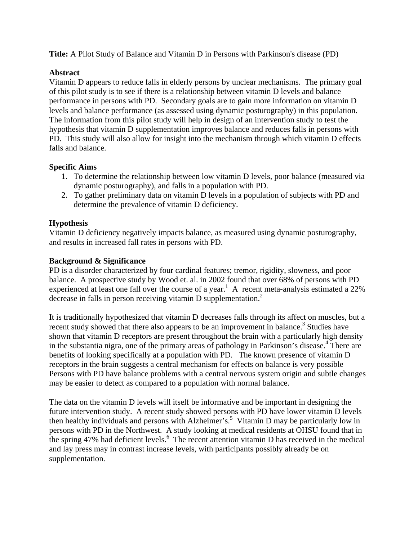**Title:** A Pilot Study of Balance and Vitamin D in Persons with Parkinson's disease (PD)

## **Abstract**

Vitamin D appears to reduce falls in elderly persons by unclear mechanisms. The primary goal of this pilot study is to see if there is a relationship between vitamin D levels and balance performance in persons with PD. Secondary goals are to gain more information on vitamin D levels and balance performance (as assessed using dynamic posturography) in this population. The information from this pilot study will help in design of an intervention study to test the hypothesis that vitamin D supplementation improves balance and reduces falls in persons with PD. This study will also allow for insight into the mechanism through which vitamin D effects falls and balance.

### **Specific Aims**

- 1. To determine the relationship between low vitamin D levels, poor balance (measured via dynamic posturography), and falls in a population with PD.
- 2. To gather preliminary data on vitamin D levels in a population of subjects with PD and determine the prevalence of vitamin D deficiency.

## **Hypothesis**

Vitamin D deficiency negatively impacts balance, as measured using dynamic posturography, and results in increased fall rates in persons with PD.

### **Background & Significance**

PD is a disorder characterized by four cardinal features; tremor, rigidity, slowness, and poor balance. A prospective study by Wood et. al. in 2002 found that over 68% of persons with PD experienced at least one fall over the course of a year.<sup>1</sup> A recent meta-analysis estimated a 22% decrease in falls in person receiving vitamin D supplementation.<sup>2</sup>

It is traditionally hypothesized that vitamin D decreases falls through its affect on muscles, but a recent study showed that there also appears to be an improvement in balance.<sup>3</sup> Studies have shown that vitamin D receptors are present throughout the brain with a particularly high density in the substantia nigra, one of the primary areas of pathology in Parkinson's disease.<sup>4</sup> There are benefits of looking specifically at a population with PD. The known presence of vitamin D receptors in the brain suggests a central mechanism for effects on balance is very possible Persons with PD have balance problems with a central nervous system origin and subtle changes may be easier to detect as compared to a population with normal balance.

The data on the vitamin D levels will itself be informative and be important in designing the future intervention study. A recent study showed persons with PD have lower vitamin D levels then healthy individuals and persons with Alzheimer's.<sup>5</sup> Vitamin D may be particularly low in persons with PD in the Northwest. A study looking at medical residents at OHSU found that in the spring 47% had deficient levels. $6\text{ }$  The recent attention vitamin D has received in the medical and lay press may in contrast increase levels, with participants possibly already be on supplementation.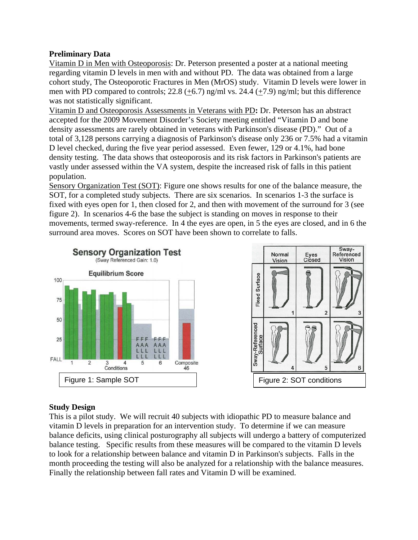## **Preliminary Data**

Vitamin D in Men with Osteoporosis: Dr. Peterson presented a poster at a national meeting regarding vitamin D levels in men with and without PD. The data was obtained from a large cohort study, The Osteoporotic Fractures in Men (MrOS) study. Vitamin D levels were lower in men with PD compared to controls;  $22.8$  (+6.7) ng/ml vs.  $24.4$  (+7.9) ng/ml; but this difference was not statistically significant.

Vitamin D and Osteoporosis Assessments in Veterans with PD**:** Dr. Peterson has an abstract accepted for the 2009 Movement Disorder's Society meeting entitled "Vitamin D and bone density assessments are rarely obtained in veterans with Parkinson's disease (PD)." Out of a total of 3,128 persons carrying a diagnosis of Parkinson's disease only 236 or 7.5% had a vitamin D level checked, during the five year period assessed. Even fewer, 129 or 4.1%, had bone density testing. The data shows that osteoporosis and its risk factors in Parkinson's patients are vastly under assessed within the VA system, despite the increased risk of falls in this patient population.

Sensory Organization Test (SOT): Figure one shows results for one of the balance measure, the SOT, for a completed study subjects. There are six scenarios. In scenarios 1-3 the surface is fixed with eyes open for 1, then closed for 2, and then with movement of the surround for 3 (see figure 2). In scenarios 4-6 the base the subject is standing on moves in response to their movements, termed sway-reference. In 4 the eyes are open, in 5 the eyes are closed, and in 6 the surround area moves. Scores on SOT have been shown to correlate to falls.





## **Study Design**

This is a pilot study. We will recruit 40 subjects with idiopathic PD to measure balance and vitamin D levels in preparation for an intervention study. To determine if we can measure balance deficits, using clinical posturography all subjects will undergo a battery of computerized balance testing. Specific results from these measures will be compared to the vitamin D levels to look for a relationship between balance and vitamin D in Parkinson's subjects. Falls in the month proceeding the testing will also be analyzed for a relationship with the balance measures. Finally the relationship between fall rates and Vitamin D will be examined.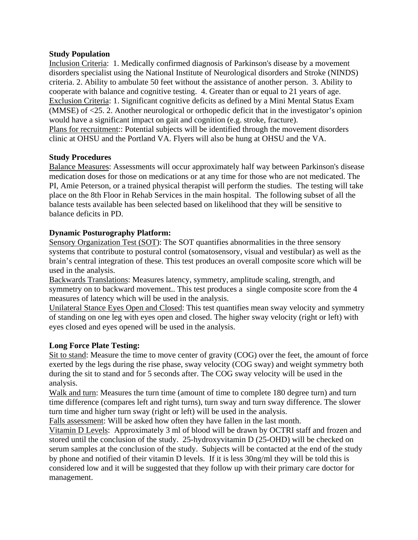### **Study Population**

Inclusion Criteria: 1. Medically confirmed diagnosis of Parkinson's disease by a movement disorders specialist using the National Institute of Neurological disorders and Stroke (NINDS) criteria. 2. Ability to ambulate 50 feet without the assistance of another person. 3. Ability to cooperate with balance and cognitive testing. 4. Greater than or equal to 21 years of age. Exclusion Criteria: 1. Significant cognitive deficits as defined by a Mini Mental Status Exam (MMSE) of <25. 2. Another neurological or orthopedic deficit that in the investigator's opinion would have a significant impact on gait and cognition (e.g. stroke, fracture). Plans for recruitment:: Potential subjects will be identified through the movement disorders clinic at OHSU and the Portland VA. Flyers will also be hung at OHSU and the VA.

### **Study Procedures**

Balance Measures: Assessments will occur approximately half way between Parkinson's disease medication doses for those on medications or at any time for those who are not medicated. The PI, Amie Peterson, or a trained physical therapist will perform the studies. The testing will take place on the 8th Floor in Rehab Services in the main hospital. The following subset of all the balance tests available has been selected based on likelihood that they will be sensitive to balance deficits in PD.

## **Dynamic Posturography Platform:**

Sensory Organization Test (SOT): The SOT quantifies abnormalities in the three sensory systems that contribute to postural control (somatosensory, visual and vestibular) as well as the brain's central integration of these. This test produces an overall composite score which will be used in the analysis.

Backwards Translations: Measures latency, symmetry, amplitude scaling, strength, and symmetry on to backward movement.. This test produces a single composite score from the 4 measures of latency which will be used in the analysis.

Unilateral Stance Eyes Open and Closed: This test quantifies mean sway velocity and symmetry of standing on one leg with eyes open and closed. The higher sway velocity (right or left) with eyes closed and eyes opened will be used in the analysis.

## **Long Force Plate Testing:**

Sit to stand: Measure the time to move center of gravity (COG) over the feet, the amount of force exerted by the legs during the rise phase, sway velocity (COG sway) and weight symmetry both during the sit to stand and for 5 seconds after. The COG sway velocity will be used in the analysis.

Walk and turn: Measures the turn time (amount of time to complete 180 degree turn) and turn time difference (compares left and right turns), turn sway and turn sway difference. The slower turn time and higher turn sway (right or left) will be used in the analysis.

Falls assessment: Will be asked how often they have fallen in the last month.

Vitamin D Levels:Approximately 3 ml of blood will be drawn by OCTRI staff and frozen and stored until the conclusion of the study. 25-hydroxyvitamin D (25-OHD) will be checked on serum samples at the conclusion of the study. Subjects will be contacted at the end of the study by phone and notified of their vitamin D levels. If it is less 30ng/ml they will be told this is considered low and it will be suggested that they follow up with their primary care doctor for management.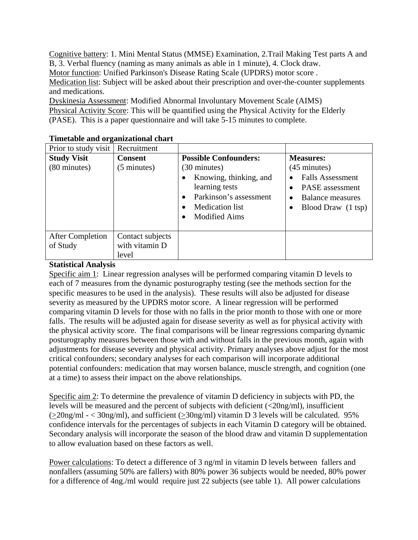Cognitive battery: 1. Mini Mental Status (MMSE) Examination, 2.Trail Making Test parts A and B, 3. Verbal fluency (naming as many animals as able in 1 minute), 4. Clock draw.

Motor function: Unified Parkinson's Disease Rating Scale (UPDRS) motor score .

Medication list: Subject will be asked about their prescription and over-the-counter supplements and medications.

Dyskinesia Assessment: Modified Abnormal Involuntary Movement Scale (AIMS) Physical Activity Score: This will be quantified using the Physical Activity for the Elderly (PASE). This is a paper questionnaire and will take 5-15 minutes to complete.

| Prior to study visit                | Recruitment                                 |                                                                                                                                                                                     |                                                                                                                                    |
|-------------------------------------|---------------------------------------------|-------------------------------------------------------------------------------------------------------------------------------------------------------------------------------------|------------------------------------------------------------------------------------------------------------------------------------|
| <b>Study Visit</b><br>(80 minutes)  | <b>Consent</b><br>$(5 \text{ minutes})$     | <b>Possible Confounders:</b><br>$(30 \text{ minutes})$<br>Knowing, thinking, and<br>learning tests<br>Parkinson's assessment<br><b>Medication</b> list<br><b>Modified Aims</b><br>٠ | <b>Measures:</b><br>$(45 \text{ minutes})$<br><b>Falls Assessment</b><br>PASE assessment<br>Balance measures<br>Blood Draw (1 tsp) |
| <b>After Completion</b><br>of Study | Contact subjects<br>with vitamin D<br>level |                                                                                                                                                                                     |                                                                                                                                    |

## **Timetable and organizational chart**

# **Statistical Analysis**

Specific aim 1: Linear regression analyses will be performed comparing vitamin D levels to each of 7 measures from the dynamic posturography testing (see the methods section for the specific measures to be used in the analysis). These results will also be adjusted for disease severity as measured by the UPDRS motor score. A linear regression will be performed comparing vitamin D levels for those with no falls in the prior month to those with one or more falls. The results will be adjusted again for disease severity as well as for physical activity with the physical activity score. The final comparisons will be linear regressions comparing dynamic posturography measures between those with and without falls in the previous month, again with adjustments for disease severity and physical activity. Primary analyses above adjust for the most critical confounders; secondary analyses for each comparison will incorporate additional potential confounders: medication that may worsen balance, muscle strength, and cognition (one at a time) to assess their impact on the above relationships.

Specific aim 2: To determine the prevalence of vitamin D deficiency in subjects with PD, the levels will be measured and the percent of subjects with deficient (<20ng/ml), insufficient  $(>20$ ng/ml  $-$  < 30ng/ml), and sufficient ( $>30$ ng/ml) vitamin D 3 levels will be calculated. 95% confidence intervals for the percentages of subjects in each Vitamin D category will be obtained. Secondary analysis will incorporate the season of the blood draw and vitamin D supplementation to allow evaluation based on these factors as well.

Power calculations: To detect a difference of 3 ng/ml in vitamin D levels between fallers and nonfallers (assuming 50% are fallers) with 80% power 36 subjects would be needed, 80% power for a difference of 4ng./ml would require just 22 subjects (see table 1). All power calculations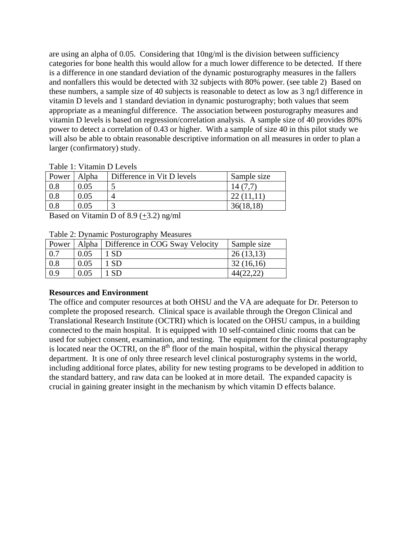are using an alpha of 0.05. Considering that 10ng/ml is the division between sufficiency categories for bone health this would allow for a much lower difference to be detected. If there is a difference in one standard deviation of the dynamic posturography measures in the fallers and nonfallers this would be detected with 32 subjects with 80% power. (see table 2) Based on these numbers, a sample size of 40 subjects is reasonable to detect as low as 3 ng/l difference in vitamin D levels and 1 standard deviation in dynamic posturography; both values that seem appropriate as a meaningful difference. The association between posturography measures and vitamin D levels is based on regression/correlation analysis. A sample size of 40 provides 80% power to detect a correlation of 0.43 or higher. With a sample of size 40 in this pilot study we will also be able to obtain reasonable descriptive information on all measures in order to plan a larger (confirmatory) study.

|  |  | Table 1: Vitamin D Levels |  |  |
|--|--|---------------------------|--|--|
|--|--|---------------------------|--|--|

| Power | Alpha | Difference in Vit D levels | Sample size |
|-------|-------|----------------------------|-------------|
|       | .05   |                            |             |
|       | .05   |                            |             |
|       | .05   |                            |             |

Based on Vitamin D of 8.9  $(+3.2)$  ng/ml

Table 2: Dynamic Posturography Measures

| Power |      | Alpha   Difference in COG Sway Velocity | Sample size |
|-------|------|-----------------------------------------|-------------|
|       | 0.05 |                                         | 26(13,13)   |
| 0.8   | 0.05 |                                         | 32(16,16)   |
| 0.9   | 0.05 |                                         |             |

#### **Resources and Environment**

The office and computer resources at both OHSU and the VA are adequate for Dr. Peterson to complete the proposed research. Clinical space is available through the Oregon Clinical and Translational Research Institute (OCTRI) which is located on the OHSU campus, in a building connected to the main hospital. It is equipped with 10 self-contained clinic rooms that can be used for subject consent, examination, and testing. The equipment for the clinical posturography is located near the OCTRI, on the  $8<sup>th</sup>$  floor of the main hospital, within the physical therapy department. It is one of only three research level clinical posturography systems in the world, including additional force plates, ability for new testing programs to be developed in addition to the standard battery, and raw data can be looked at in more detail. The expanded capacity is crucial in gaining greater insight in the mechanism by which vitamin D effects balance.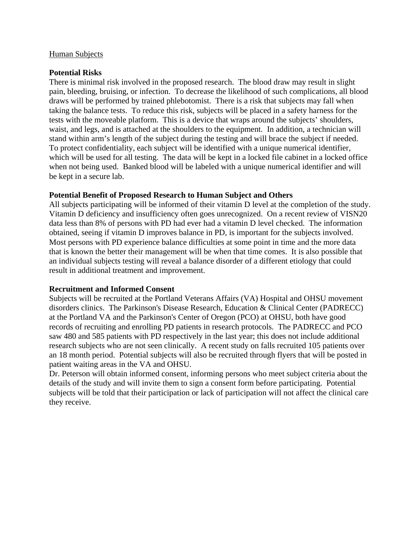#### Human Subjects

#### **Potential Risks**

There is minimal risk involved in the proposed research. The blood draw may result in slight pain, bleeding, bruising, or infection. To decrease the likelihood of such complications, all blood draws will be performed by trained phlebotomist. There is a risk that subjects may fall when taking the balance tests. To reduce this risk, subjects will be placed in a safety harness for the tests with the moveable platform. This is a device that wraps around the subjects' shoulders, waist, and legs, and is attached at the shoulders to the equipment. In addition, a technician will stand within arm's length of the subject during the testing and will brace the subject if needed. To protect confidentiality, each subject will be identified with a unique numerical identifier, which will be used for all testing. The data will be kept in a locked file cabinet in a locked office when not being used. Banked blood will be labeled with a unique numerical identifier and will be kept in a secure lab.

#### **Potential Benefit of Proposed Research to Human Subject and Others**

All subjects participating will be informed of their vitamin D level at the completion of the study. Vitamin D deficiency and insufficiency often goes unrecognized. On a recent review of VISN20 data less than 8% of persons with PD had ever had a vitamin D level checked. The information obtained, seeing if vitamin D improves balance in PD, is important for the subjects involved. Most persons with PD experience balance difficulties at some point in time and the more data that is known the better their management will be when that time comes. It is also possible that an individual subjects testing will reveal a balance disorder of a different etiology that could result in additional treatment and improvement.

#### **Recruitment and Informed Consent**

Subjects will be recruited at the Portland Veterans Affairs (VA) Hospital and OHSU movement disorders clinics. The Parkinson's Disease Research, Education & Clinical Center (PADRECC) at the Portland VA and the Parkinson's Center of Oregon (PCO) at OHSU, both have good records of recruiting and enrolling PD patients in research protocols. The PADRECC and PCO saw 480 and 585 patients with PD respectively in the last year; this does not include additional research subjects who are not seen clinically. A recent study on falls recruited 105 patients over an 18 month period. Potential subjects will also be recruited through flyers that will be posted in patient waiting areas in the VA and OHSU.

Dr. Peterson will obtain informed consent, informing persons who meet subject criteria about the details of the study and will invite them to sign a consent form before participating. Potential subjects will be told that their participation or lack of participation will not affect the clinical care they receive.